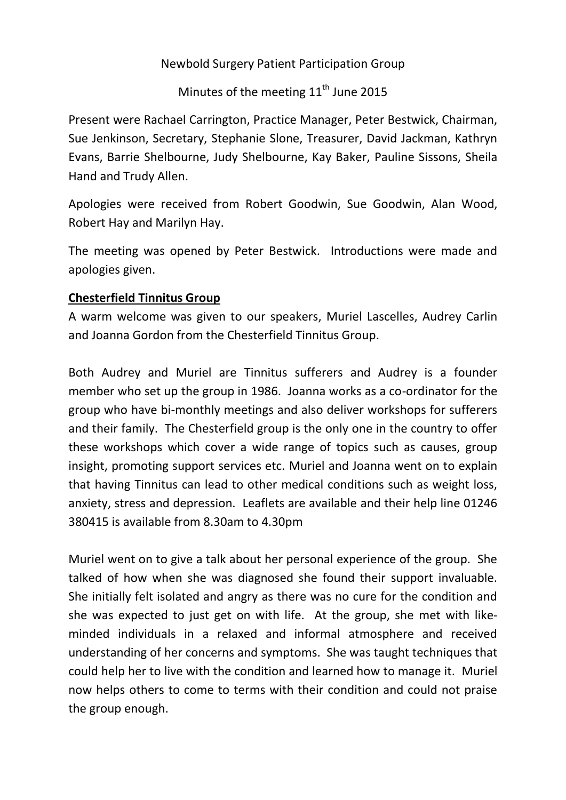Newbold Surgery Patient Participation Group

Minutes of the meeting  $11<sup>th</sup>$  June 2015

Present were Rachael Carrington, Practice Manager, Peter Bestwick, Chairman, Sue Jenkinson, Secretary, Stephanie Slone, Treasurer, David Jackman, Kathryn Evans, Barrie Shelbourne, Judy Shelbourne, Kay Baker, Pauline Sissons, Sheila Hand and Trudy Allen.

Apologies were received from Robert Goodwin, Sue Goodwin, Alan Wood, Robert Hay and Marilyn Hay.

The meeting was opened by Peter Bestwick. Introductions were made and apologies given.

# **Chesterfield Tinnitus Group**

A warm welcome was given to our speakers, Muriel Lascelles, Audrey Carlin and Joanna Gordon from the Chesterfield Tinnitus Group.

Both Audrey and Muriel are Tinnitus sufferers and Audrey is a founder member who set up the group in 1986. Joanna works as a co-ordinator for the group who have bi-monthly meetings and also deliver workshops for sufferers and their family. The Chesterfield group is the only one in the country to offer these workshops which cover a wide range of topics such as causes, group insight, promoting support services etc. Muriel and Joanna went on to explain that having Tinnitus can lead to other medical conditions such as weight loss, anxiety, stress and depression. Leaflets are available and their help line 01246 380415 is available from 8.30am to 4.30pm

Muriel went on to give a talk about her personal experience of the group. She talked of how when she was diagnosed she found their support invaluable. She initially felt isolated and angry as there was no cure for the condition and she was expected to just get on with life. At the group, she met with likeminded individuals in a relaxed and informal atmosphere and received understanding of her concerns and symptoms. She was taught techniques that could help her to live with the condition and learned how to manage it. Muriel now helps others to come to terms with their condition and could not praise the group enough.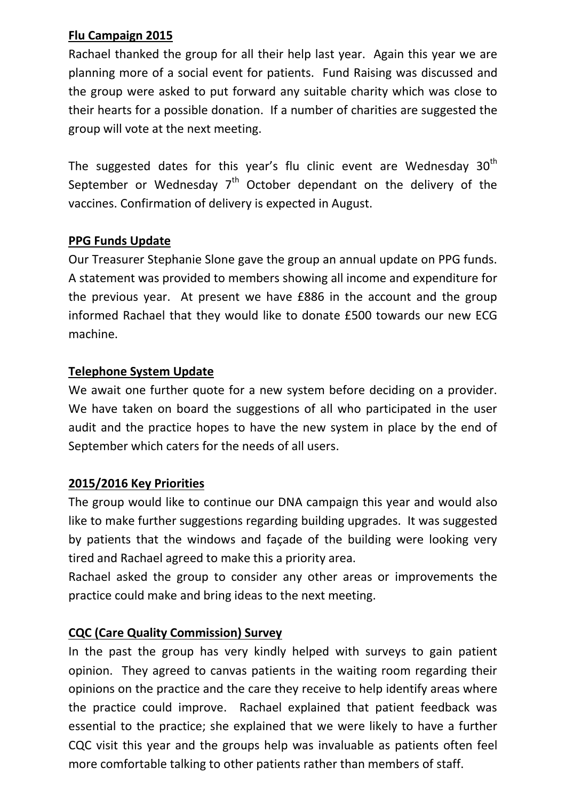### **Flu Campaign 2015**

Rachael thanked the group for all their help last year. Again this year we are planning more of a social event for patients. Fund Raising was discussed and the group were asked to put forward any suitable charity which was close to their hearts for a possible donation. If a number of charities are suggested the group will vote at the next meeting.

The suggested dates for this year's flu clinic event are Wednesday  $30<sup>th</sup>$ September or Wednesday  $7<sup>th</sup>$  October dependant on the delivery of the vaccines. Confirmation of delivery is expected in August.

#### **PPG Funds Update**

Our Treasurer Stephanie Slone gave the group an annual update on PPG funds. A statement was provided to members showing all income and expenditure for the previous year. At present we have £886 in the account and the group informed Rachael that they would like to donate £500 towards our new ECG machine.

#### **Telephone System Update**

We await one further quote for a new system before deciding on a provider. We have taken on board the suggestions of all who participated in the user audit and the practice hopes to have the new system in place by the end of September which caters for the needs of all users.

#### **2015/2016 Key Priorities**

The group would like to continue our DNA campaign this year and would also like to make further suggestions regarding building upgrades. It was suggested by patients that the windows and façade of the building were looking very tired and Rachael agreed to make this a priority area.

Rachael asked the group to consider any other areas or improvements the practice could make and bring ideas to the next meeting.

# **CQC (Care Quality Commission) Survey**

In the past the group has very kindly helped with surveys to gain patient opinion. They agreed to canvas patients in the waiting room regarding their opinions on the practice and the care they receive to help identify areas where the practice could improve. Rachael explained that patient feedback was essential to the practice; she explained that we were likely to have a further CQC visit this year and the groups help was invaluable as patients often feel more comfortable talking to other patients rather than members of staff.